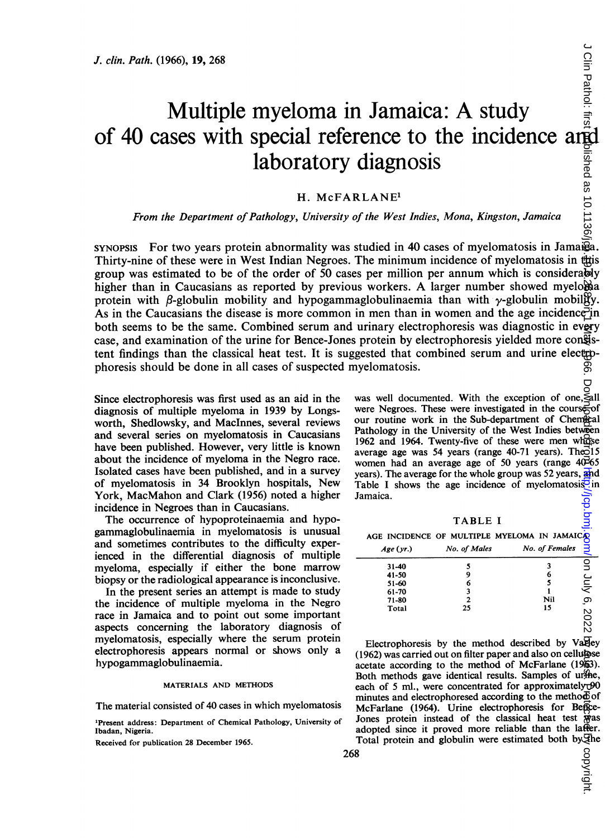# Multiple myeloma in Jamaica: A study of 40 cases with special reference to the incidence and laboratory diagnosis

# H. McFARLANE1

## From the Department of Pathology, University of the West Indies, Mona, Kingston, Jamaica

SYNOPSIS For two years protein abnormality was studied in 40 cases of myelomatosis in Jamaia. Thirty-nine of these were in West Indian Negroes. The minimum incidence of myelomatosis in this group was estimated to be of the order of 50 cases per million per annum which is considerably higher than in Caucasians as reported by previous workers. A larger number showed myelobia protein with  $\beta$ -globulin mobility and hypogammaglobulinaemia than with  $\gamma$ -globulin mobility. As in the Caucasians the disease is more common in men than in women and the age incidence in both seems to be the same. Combined serum and urinary electrophoresis was diagnostic in every case, and examination of the urine for Bence-Jones protein by electrophoresis yielded more consistent findings than the classical heat test. It is suggested that combined serum and urine electrophoresis should be done in all cases of suspected myelomatosis.

Since electrophoresis was first used as an aid in the diagnosis of multiple myeloma in 1939 by Longsworth, Shedlowsky, and Maclnnes, several reviews and several series on myelomatosis in Caucasians have been published. However, very little is known about the incidence of myeloma in the Negro race. Isolated cases have been published, and in a survey of myelomatosis in 34 Brooklyn hospitals, New York, MacMahon and Clark (1956) noted a higher incidence in Negroes than in Caucasians.

The occurrence of hypoproteinaemia and hypogammaglobulinaemia in myelomatosis is unusual and sometimes contributes to the difficulty experienced in the differential diagnosis of multiple myeloma, especially if either the bone marrow biopsy or the radiological appearance is inconclusive.

In the present series an attempt is made to study the incidence of multiple myeloma in the Negro race in Jamaica and to point out some important aspects concerning the laboratory diagnosis of myelomatosis, especially where the serum protein electrophoresis appears normal or shows only a hypogammaglobulinaemia.

#### MATERIALS AND METHODS

The material consisted of 40 cases in which myelomatosis

'Present address: Department of Chemical Pathology, University of Ibadan, Nigeria.

Received for publication 28 December 1965.

was well documented. With the exception of one,  $\leq$ all were Negroes. These were investigated in the course of our routine work in the Sub-department of Chemical Pathology in the University of the West Indies between 1962 and 1964. Twenty-five of these were men whose average age was 54 years (range  $40-71$  years). The  $\overrightarrow{5}15$ women had an average age of 50 years (range  $40\overline{6}65$ years). The average for the whole group was 52 years, and Table I shows the age incidence of myelomatosis<sup> $\overline{5}$ </sup>in Jamaica.

TABLE <sup>I</sup>

AGE INCIDENCE OF MULTIPLE MYELOMA IN

| Age(yr.)  | No. of Males | No. of Females |     |
|-----------|--------------|----------------|-----|
| $31 - 40$ |              |                | 9   |
| 41-50     | 9            | 6              |     |
| 51-60     | 6            |                | Ánr |
| 61-70     | 3            |                |     |
| 71-80     | ,            | Nil            | ္ပာ |
| Total     | 25           | 15             | S   |

Electrophoresis by the method described by Varley (1962) was carried out on filter paper and also on cellulose acetate according to the method of McFarlane (1963). Both methods gave identical results. Samples of urine, each of 5 ml., were concentrated for approximately  $+90$ minutes and electrophoresed according to the method of McFarlane (1964). Urine electrophoresis for Bence-Jones protein instead of the classical heat test was adopted since it proved more reliable than the latter.

Total protein and globulin were estimated both by The

R,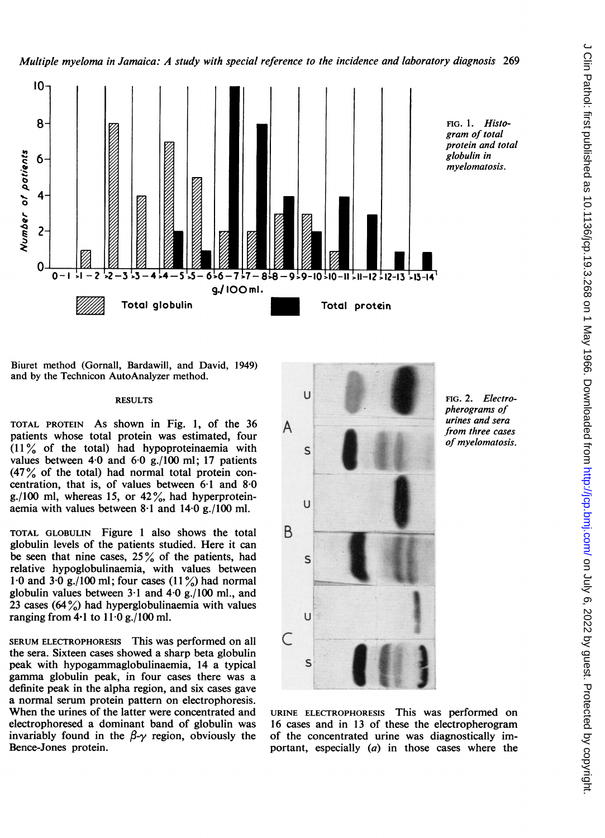

Biuret method (Gornall, Bardawill, and David, 1949) and by the Technicon AutoAnalyzer method.

## RESULTS

TOTAL PROTEIN As shown in Fig. 1, of the 36 patients whose total protein was estimated, four (11 % of the total) had hypoproteinaemia with values between  $4.0$  and  $6.0$  g./100 ml; 17 patients (47% of the total) had normal total protein concentration, that is, of values between  $6·1$  and  $8·0$ g./100 ml, whereas 15, or  $42\%$ , had hyperproteinaemia with values between 8-1 and 14-0 g./100 ml.

TOTAL GLOBULIN Figure <sup>1</sup> also shows the total globulin levels of the patients studied. Here it can be seen that nine cases,  $25\%$  of the patients, had relative hypoglobulinaemia, with values between 1.0 and 3.0 g./100 ml; four cases  $(11\%)$  had normal globulin values between  $3 \cdot 1$  and  $4 \cdot 0$  g./100 ml., and 23 cases  $(64\%)$  had hyperglobulinaemia with values ranging from  $4.1$  to  $11.0$  g./100 ml.

SERUM ELECTROPHORESIS This was performed on all the sera. Sixteen cases showed a sharp beta globulin peak with hypogammaglobulinaemia, 14 a typical gamma globulin peak, in four cases there was a definite peak in the alpha region, and six cases gave a normal serum protein pattern on electrophoresis. When the urines of the latter were concentrated and electrophoresed a dominant band of globulin was invariably found in the  $\beta-\gamma$  region, obviously the Bence-Jones protein.



URINE ELECTROPHORESIS This was performed on 16 cases and in 13 of these the electropherogram of the concentrated urine was diagnostically important, especially (a) in those cases where the

pherograms of urines and sera from three cases of myelomatosis.

FIG. 2. Electro-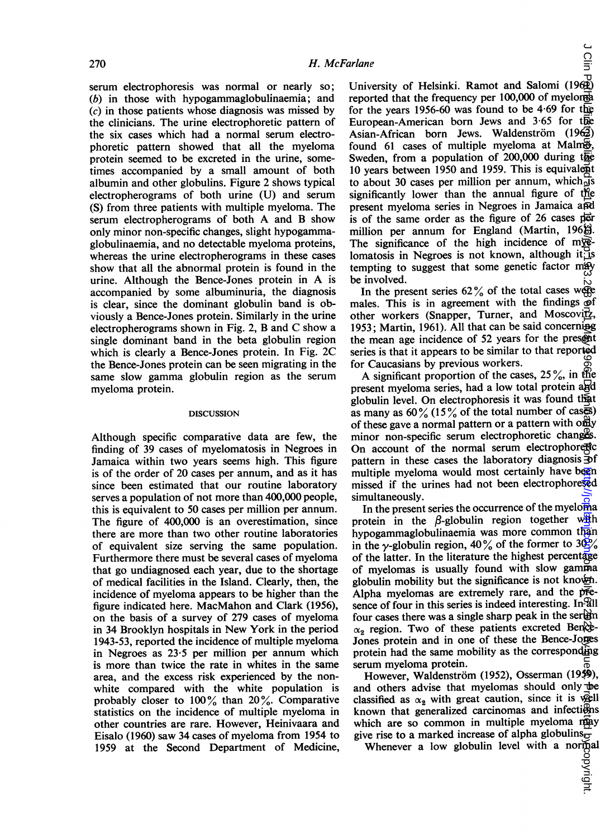serum electrophoresis was normal or nearly so; (b) in those with hypogammaglobulinaemia; and (c) in those patients whose diagnosis was missed by the clinicians. The urine electrophoretic pattern of the six cases which had a normal serum electrophoretic pattern showed that all the myeloma protein seemed to be excreted in the urine, sometimes accompanied by a small amount of both albumin and other globulins. Figure 2 shows typical electropherograms of both urine (U) and serum (S) from three patients with multiple myeloma. The serum electropherograms of both A and B show only minor non-specific changes, slight hypogammaglobulinaemia, and no detectable myeloma proteins, whereas the urine electropherograms in these cases show that all the abnormal protein is found in the urine. Although the Bence-Jones protein in A is accompanied by some albuminuria, the diagnosis is clear, since the dominant globulin band is obviously a Bence-Jones protein. Similarly in the urine electropherograms shown in Fig. 2, B and C show <sup>a</sup> single dominant band in the beta globulin region which is clearly a Bence-Jones protein. In Fig. 2C the Bence-Jones protein can be seen migrating in the same slow gamma globulin region as the serum myeloma protein.

#### DISCUSSION

Although specific comparative data are few, the finding of 39 cases of myelomatosis in Negroes in Jamaica within two years seems high. This figure is of the order of 20 cases per annum, and as it has since been estimated that our routine laboratory serves a population of not more than 400,000 people, this is equivalent to 50 cases per million per annum. The figure of 400,000 is an overestimation, since there are more than two other routine laboratories of equivalent size serving the same population. Furthermore there must be several cases of myeloma that go undiagnosed each year, due to the shortage of medical facilities in the Island. Clearly, then, the incidence of myeloma appears to be higher than the figure indicated here. MacMahon and Clark (1956), on the basis of a survey of 279 cases of myeloma in 34 Brooklyn hospitals in New York in the period 1943-53, reported the incidence of multiple myeloma in Negroes as 23-5 per million per annum which is more than twice the rate in whites in the same area, and the excess risk experienced by the nonwhite compared with the white population is probably closer to 100% than 20%. Comparative statistics on the incidence of multiple myeloma in other countries are rare. However, Heinivaara and Eisalo (1960) saw 34 cases of myeloma from 1954 to 1959 at the Second Department of Medicine,

University of Helsinki. Ramot and Salomi (1962) reported that the frequency per 100,000 of myelona for the years 1956-60 was found to be 4-69 for the European-American born Jews and 3 65 for the Asian-African born Jews. Waldenström  $(196\overline{3})$ found 61 cases of multiple myeloma at Malm $\ddot{\mathbf{\Theta}}$ , Sweden, from a population of  $200,000$  during the 10 years between 1950 and 1959. This is equivalent to about 30 cases per million per annum, which  $\frac{1}{y}$ s significantly lower than the annual figure of the present myeloma series in Negroes in Jamaica and is of the same order as the figure of  $26$  cases per million per annum for England (Martin, 1968). The significance of the high incidence of my $\vec{x}$ lomatosis in Negroes is not known, although it is tempting to suggest that some genetic factor  $mxy$ be involved.  $\cup$  Clin Patholic Decision Decision is the copyright. Protected by copyright. The copyright published as 10.126. The copyright published as 10.1136. The copyright published from  $\sim$  1970. Posterior published from  $\sim$ 

In the present series  $62\%$  of the total cases were males. This is in agreement with the findings  $\widetilde{\Theta}$ f other workers (Snapper, Turner, and Moscovitz, 1953; Martin, 1961). All that can be said concerning the mean age incidence of 52 years for the present series is that it appears to be similar to that reported for Caucasians by previous workers.

A significant proportion of the cases,  $25\%$ , in the present myeloma series, had a low total protein and globulin level. On electrophoresis it was found that as many as  $60\%$  (15% of the total number of cases) of these gave a normal pattern or a pattern with only minor non-specific serum electrophoretic changes. On account of the normal serum electrophoretic pattern in these cases the laboratory diagnosis  $\overline{\mathcal{D}}$  f multiple myeloma would most certainly have been missed if the urines had not been electrophoresed simultaneously.

In the present series the occurrence of the myeloma protein in the  $\beta$ -globulin region together with hypogammaglobulinaemia was more common than in the y-globulin region, 40% of the former to 30% of the latter. In the literature the highest percentage of myelomas is usually found with slow gamma globulin mobility but the significance is not known. Alpha myelomas are extremely rare, and the presence of four in this series is indeed interesting. In all four cases there was a single sharp peak in the serem  $\alpha_2$  region. Two of these patients excreted Bence-Jones protein and in one of these the Bence-Jones protein had the same mobility as the corresponding serum myeloma protein.

However, Waldenström (1952), Osserman (1959), and others advise that myelomas should only be classified as  $\alpha_2$  with great caution, since it is well known that generalized carcinomas and infections which are so common in multiple myeloma may give rise to a marked increase of alpha globulins $\frac{1}{\sigma}$ 

Whenever a low globulin level with a normal<br>Whenever a low globulin level with a normal<br> $\frac{60}{90}$ 

Clin